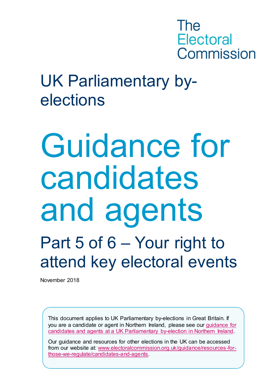

### UK Parliamentary byelections

### Guidance for candidates and agents Part 5 of 6 – Your right to attend key electoral events

November 2018

This document applies to UK Parliamentary by-elections in Great Britain. If you are a candidate or agent in Northern Ireland, please see our [guidance for](http://www.electoralcommission.org.uk/i-am-a/candidate-or-agent/uk-parliamentary-by-elections-Northern-Ireland)  [candidates and agents at a UK Parliamentary by-election in Northern Ireland.](http://www.electoralcommission.org.uk/i-am-a/candidate-or-agent/uk-parliamentary-by-elections-Northern-Ireland)

Our guidance and resources for other elections in the UK can be accessed from our website at: [www.electoralcommission.org.uk/guidance/resources-for](http://www.electoralcommission.org.uk/guidance/resources-for-those-we-regulate/candidates-and-agents)[those-we-regulate/candidates-and-agents.](http://www.electoralcommission.org.uk/guidance/resources-for-those-we-regulate/candidates-and-agents)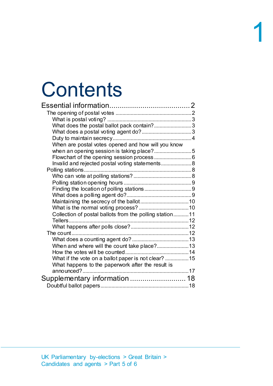### **Contents**

| What does the postal ballot pack contain?3              |  |
|---------------------------------------------------------|--|
|                                                         |  |
|                                                         |  |
| When are postal votes opened and how will you know      |  |
|                                                         |  |
|                                                         |  |
| Invalid and rejected postal voting statements 8         |  |
|                                                         |  |
|                                                         |  |
|                                                         |  |
|                                                         |  |
|                                                         |  |
|                                                         |  |
|                                                         |  |
| Collection of postal ballots from the polling station11 |  |
|                                                         |  |
|                                                         |  |
| The count $\ldots$                                      |  |
|                                                         |  |
| When and where will the count take place?13             |  |
|                                                         |  |
| What if the vote on a ballot paper is not clear? 15     |  |
| What happens to the paperwork after the result is       |  |
|                                                         |  |
|                                                         |  |
|                                                         |  |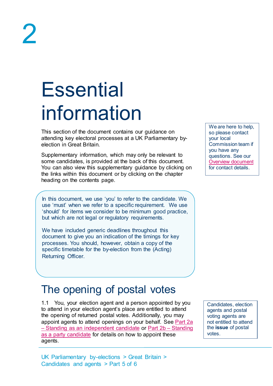### <span id="page-2-0"></span>**Essential** information

This section of the document contains our guidance on attending key electoral processes at a UK Parliamentary byelection in Great Britain.

Supplementary information, which may only be relevant to some candidates, is provided at the back of this document. You can also view this supplementary guidance by clicking on the links within this document or by clicking on the chapter heading on the contents page.

In this document, we use 'you' to refer to the candidate. We use 'must' when we refer to a specific requirement. We use 'should' for items we consider to be minimum good practice, but which are not legal or regulatory requirements.

We have included generic deadlines throughout this document to give you an indication of the timings for key processes. You should, however, obtain a copy of the specific timetable for the by-election from the (Acting) Returning Officer.

### <span id="page-2-1"></span>The opening of postal votes

1.1 You, your election agent and a person appointed by you to attend in your election agent's place are entitled to attend the opening of returned postal votes. Additionally, you may appoint agents to attend openings on your behalf. See Part 2a – [Standing as an independent candidate](http://www.electoralcommission.org.uk/__data/assets/pdf_file/0020/214229/Parliamentary-By-Election-Part-2a-Standing-as-an-independent-candidate.pdf) or [Part 2b –](http://www.electoralcommission.org.uk/__data/assets/pdf_file/0012/214230/Parliamentary-By-Election-Part-2b-Standing-as-an-independent-candidate.pdf) Standing [as a party candidate](http://www.electoralcommission.org.uk/__data/assets/pdf_file/0012/214230/Parliamentary-By-Election-Part-2b-Standing-as-an-independent-candidate.pdf) for details on how to appoint these agents.

Candidates, election agents and postal voting agents are not entitled to attend the **issue** of postal votes.

We are here to help, so please contact your local Commission team if you have any questions. See our [Overview document](http://www.electoralcommission.org.uk/__data/assets/pdf_file/0018/214227/Parliamentary-By-Election-Overview.pdf) for contact details.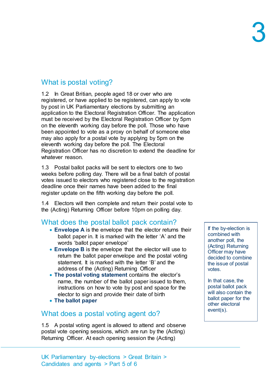#### <span id="page-3-0"></span>What is postal voting?

1.2 In Great Britian, people aged 18 or over who are registered, or have applied to be registered, can apply to vote by post in UK Parliamentary elections by submitting an application to the Electoral Registration Officer. The application must be received by the Electoral Registration Officer by 5pm on the eleventh working day before the poll. Those who have been appointed to vote as a proxy on behalf of someone else may also apply for a postal vote by applying by 5pm on the eleventh working day before the poll. The Electoral Registration Officer has no discretion to extend the deadline for whatever reason.

1.3 Postal ballot packs will be sent to electors one to two weeks before polling day. There will be a final batch of postal votes issued to electors who registered close to the registration deadline once their names have been added to the final register update on the fifth working day before the poll.

1.4 Electors will then complete and return their postal vote to the (Acting) Returning Officer before 10pm on polling day.

#### <span id="page-3-1"></span>What does the postal ballot pack contain?

- **Envelope A** is the envelope that the elector returns their ballot paper in. It is marked with the letter 'A' and the words 'ballot paper envelope'
- **Envelope B** is the envelope that the elector will use to return the ballot paper envelope and the postal voting statement. It is marked with the letter 'B' and the address of the (Acting) Returning Officer
- **The postal voting statement** contains the elector's name, the number of the ballot paper issued to them, instructions on how to vote by post and space for the elector to sign and provide their date of birth
- **The ballot paper**

#### <span id="page-3-2"></span>What does a postal voting agent do?

1.5 A postal voting agent is allowed to attend and observe postal vote opening sessions, which are run by the (Acting) Returning Officer. At each opening session the (Acting)

If the by-election is combined with another poll, the (Acting) Returning Officer may have decided to combine the issue of postal votes.

In that case, the postal ballot pack will also contain the ballot paper for the other electoral event(s).

UK Parliamentary by-elections > Great Britain > Candidates and agents > Part 5 of 6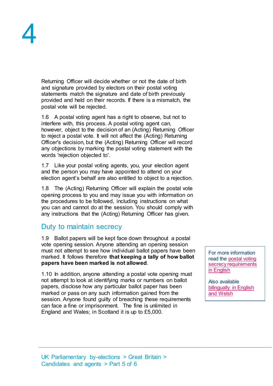Returning Officer will decide whether or not the date of birth and signature provided by electors on their postal voting statements match the signature and date of birth previously provided and held on their records. If there is a mismatch, the postal vote will be rejected.

1.6 A postal voting agent has a right to observe, but not to interfere with, this process. A postal voting agent can, however, object to the decision of an (Acting) Returning Officer to reject a postal vote. It will not affect the (Acting) Returning Officer's decision, but the (Acting) Returning Officer will record any objections by marking the postal voting statement with the words 'rejection objected to'.

1.7 Like your postal voting agents, you, your election agent and the person you may have appointed to attend on your election agent's behalf are also entitled to object to a rejection.

1.8 The (Acting) Returning Officer will explain the postal vote opening process to you and may issue you with information on the procedures to be followed, including instructions on what you can and cannot do at the session. You should comply with any instructions that the (Acting) Returning Officer has given.

#### <span id="page-4-0"></span>Duty to maintain secrecy

1.9 Ballot papers will be kept face down throughout a postal vote opening session. Anyone attending an opening session must not attempt to see how individual ballot papers have been marked. It follows therefore **that keeping a tally of how ballot papers have been marked is not allowed**.

1.10 In addition, anyone attending a postal vote opening must not attempt to look at identifying marks or numbers on ballot papers, disclose how any particular ballot paper has been marked or pass on any such information gained from the session. Anyone found guilty of breaching these requirements can face a fine or imprisonment. The fine is unlimited in England and Wales; in Scotland it is up to £5,000.

For more information read the [postal voting](http://www.electoralcommission.org.uk/__data/assets/word_doc/0008/141893/Secrecy-Requirements-Postal-Voting-LGE.doc)  [secrecy requirements](http://www.electoralcommission.org.uk/__data/assets/word_doc/0008/141893/Secrecy-Requirements-Postal-Voting-LGE.doc)  [in English](http://www.electoralcommission.org.uk/__data/assets/word_doc/0008/141893/Secrecy-Requirements-Postal-Voting-LGE.doc)

Also available [bilingually in English](http://www.electoralcommission.org.uk/__data/assets/word_doc/0003/141897/Secrecy-requirements-postal-voting-Wales-S66-WB.doc)  [and Welsh](http://www.electoralcommission.org.uk/__data/assets/word_doc/0003/141897/Secrecy-requirements-postal-voting-Wales-S66-WB.doc)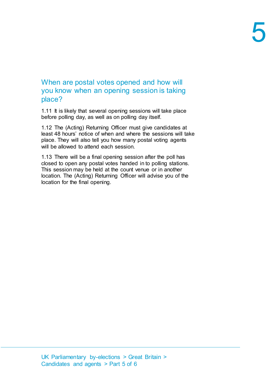#### <span id="page-5-0"></span>When are postal votes opened and how will you know when an opening session is taking place?

1.11 It is likely that several opening sessions will take place before polling day, as well as on polling day itself.

1.12 The (Acting) Returning Officer must give candidates at least 48 hours' notice of when and where the sessions will take place. They will also tell you how many postal voting agents will be allowed to attend each session.

1.13 There will be a final opening session after the poll has closed to open any postal votes handed in to polling stations. This session may be held at the count venue or in another location. The (Acting) Returning Officer will advise you of the location for the final opening.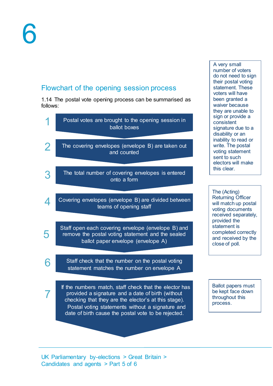#### <span id="page-6-0"></span>Flowchart of the opening session process

1.14 The postal vote opening process can be summarised as follows:



A very small number of voters do not need to sign their postal voting statement. These voters will have been granted a waiver because they are unable to sign or provide a consistent signature due to a disability or an inability to read or write. The postal voting statement sent to such electors will make this clear.

The (Acting) Returning Officer will match up postal voting documents received separately, provided the statement is completed correctly and received by the close of poll.

Ballot papers must be kept face down throughout this process.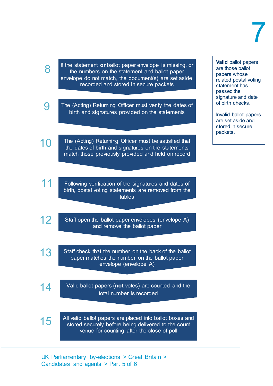10

15

If the statement **or** ballot paper envelope is missing, or the numbers on the statement and ballot paper envelope do not match, the document(s) are set aside, recorded and stored in secure packets

The (Acting) Returning Officer must verify the dates of birth and signatures provided on the statements 9

The (Acting) Returning Officer must be satisfied that the dates of birth and signatures on the statements match those previously provided and held on record

- Following verification of the signatures and dates of birth, postal voting statements are removed from the tables 11
- Staff open the ballot paper envelopes (envelope A) and remove the ballot paper 12
- Staff check that the number on the back of the ballot paper matches the number on the ballot paper envelope (envelope A) 13
- Valid ballot papers (**not** votes) are counted and the total number is recorded 14

All valid ballot papers are placed into ballot boxes and stored securely before being delivered to the count venue for counting after the close of poll

UK Parliamentary by-elections > Great Britain > Candidates and agents > Part 5 of 6

**Valid** ballot papers are those ballot papers whose related postal voting statement has passed the signature and date of birth checks.

Invalid ballot papers are set aside and stored in secure packets.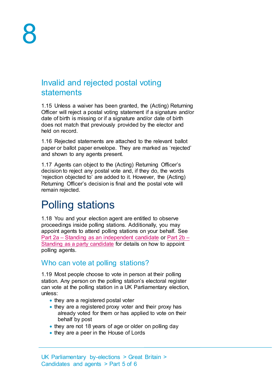#### <span id="page-8-0"></span>Invalid and rejected postal voting statements

1.15 Unless a waiver has been granted, the (Acting) Returning Officer will reject a postal voting statement if a signature and/or date of birth is missing or if a signature and/or date of birth does not match that previously provided by the elector and held on record.

1.16 Rejected statements are attached to the relevant ballot paper or ballot paper envelope. They are marked as 'rejected' and shown to any agents present.

1.17 Agents can object to the (Acting) Returning Officer's decision to reject any postal vote and, if they do, the words 'rejection objected to' are added to it. However, the (Acting) Returning Officer's decision is final and the postal vote will remain rejected.

### <span id="page-8-1"></span>Polling stations

1.18 You and your election agent are entitled to observe proceedings inside polling stations. Additionally, you may appoint agents to attend polling stations on your behalf. See Part 2a – [Standing as an independent candidate](http://www.electoralcommission.org.uk/__data/assets/pdf_file/0020/214229/Parliamentary-By-Election-Part-2a-Standing-as-an-independent-candidate.pdf) or [Part 2b –](http://www.electoralcommission.org.uk/__data/assets/pdf_file/0012/214230/Parliamentary-By-Election-Part-2b-Standing-as-an-independent-candidate.pdf) [Standing as a party candidate](http://www.electoralcommission.org.uk/__data/assets/pdf_file/0012/214230/Parliamentary-By-Election-Part-2b-Standing-as-an-independent-candidate.pdf) for details on how to appoint polling agents.

#### <span id="page-8-2"></span>Who can vote at polling stations?

1.19 Most people choose to vote in person at their polling station. Any person on the polling station's electoral register can vote at the polling station in a UK Parliamentary election, unless:

- they are a registered postal voter
- they are a registered proxy voter and their proxy has already voted for them or has applied to vote on their behalf by post
- they are not 18 years of age or older on polling day
- they are a peer in the House of Lords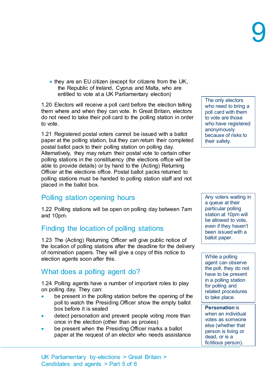• they are an EU citizen (except for citizens from the UK, the Republic of Ireland, Cyprus and Malta, who are entitled to vote at a UK Parliamentary election)

1.20 Electors will receive a poll card before the election telling them where and when they can vote. In Great Britain, electors do not need to take their poll card to the polling station in order to vote.

1.21 Registered postal voters cannot be issued with a ballot paper at the polling station, but they can return their completed postal ballot pack to their polling station on polling day. Alternatively, they may return their postal vote to certain other polling stations in the constituency (the elections office will be able to provide details) or by hand to the (Acting) Returning Officer at the elections office. Postal ballot packs returned to polling stations must be handed to polling station staff and not placed in the ballot box.

#### <span id="page-9-0"></span>Polling station opening hours

1.22 Polling stations will be open on polling day between 7am and 10pm.

#### <span id="page-9-1"></span>Finding the location of polling stations

1.23 The (Acting) Returning Officer will give public notice of the location of polling stations after the deadline for the delivery of nomination papers. They will give a copy of this notice to election agents soon after this.

#### <span id="page-9-2"></span>What does a polling agent do?

1.24 Polling agents have a number of important roles to play on polling day. They can:

- be present in the polling station before the opening of the poll to watch the Presiding Officer show the empty ballot box before it is sealed
- detect personation and prevent people voting more than once in the election (other than as proxies)
- be present when the Presiding Officer marks a ballot paper at the request of an elector who needs assistance

UK Parliamentary by-elections > Great Britain > Candidates and agents > Part 5 of 6

The only electors who need to bring a poll card with them to vote are those who have registered anonymously because of risks to their safety.

Any voters waiting in a queue at their particular polling station at 10pm will be allowed to vote, even if they haven't been issued with a ballot paper.

While a polling agent can observe the poll, they do not have to be present in a polling station for polling and related procedures to take place.

**Personation** is when an individual votes as someone else (whether that person is living or dead, or is a fictitious person).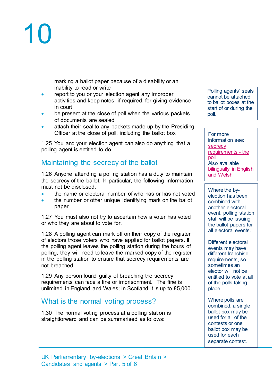marking a ballot paper because of a disability or an inability to read or write

- report to you or your election agent any improper activities and keep notes, if required, for giving evidence in court
- be present at the close of poll when the various packets of documents are sealed
- attach their seal to any packets made up by the Presiding Officer at the close of poll, including the ballot box

1.25 You and your election agent can also do anything that a polling agent is entitled to do.

#### <span id="page-10-0"></span>Maintaining the secrecy of the ballot

1.26 Anyone attending a polling station has a duty to maintain the secrecy of the ballot. In particular, the following information must not be disclosed:

- the name or electoral number of who has or has not voted
- the number or other unique identifying mark on the ballot paper

1.27 You must also not try to ascertain how a voter has voted or who they are about to vote for.

1.28 A polling agent can mark off on their copy of the register of electors those voters who have applied for ballot papers. If the polling agent leaves the polling station during the hours of polling, they will need to leave the marked copy of the register in the polling station to ensure that secrecy requirements are not breached.

1.29 Any person found guilty of breaching the secrecy requirements can face a fine or imprisonment. The fine is unlimited in England and Wales; in Scotland it is up to £5,000.

#### <span id="page-10-1"></span>What is the normal voting process?

1.30 The normal voting process at a polling station is straightforward and can be summarised as follows:

Polling agents' seals cannot be attached to ballot boxes at the start of or during the poll.

For more information see: **secrecy** [requirements -](http://www.electoralcommission.org.uk/__data/assets/word_doc/0007/141892/Secrecy-requirements-the-poll-LGE.doc) the [poll](http://www.electoralcommission.org.uk/__data/assets/word_doc/0007/141892/Secrecy-requirements-the-poll-LGE.doc) Also available [bilingually in English](http://www.electoralcommission.org.uk/__data/assets/word_doc/0011/141896/Secrecy-requirements-the-poll-Wales-S66-WB.doc)  [and Welsh](http://www.electoralcommission.org.uk/__data/assets/word_doc/0011/141896/Secrecy-requirements-the-poll-Wales-S66-WB.doc)

Where the byelection has been combined with another electoral event, polling station staff will be issuing the ballot papers for all electoral events.

Different electoral events may have different franchise requirements, so sometimes an elector will not be entitled to vote at all of the polls taking place.

Where polls are combined, a single ballot box may be used for all of the contests or one ballot box may be used for each separate contest.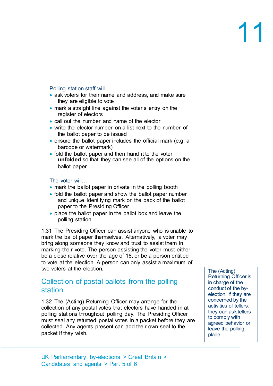Polling station staff will…

- ask voters for their name and address, and make sure they are eligible to vote
- mark a straight line against the voter's entry on the register of electors
- call out the number and name of the elector
- write the elector number on a list next to the number of the ballot paper to be issued
- ensure the ballot paper includes the official mark (e.g. a barcode or watermark)
- fold the ballot paper and then hand it to the voter **unfolded** so that they can see all of the options on the ballot paper

The voter will…

- mark the ballot paper in private in the polling booth
- fold the ballot paper and show the ballot paper number and unique identifying mark on the back of the ballot paper to the Presiding Officer
- place the ballot paper in the ballot box and leave the polling station

1.31 The Presiding Officer can assist anyone who is unable to mark the ballot paper themselves. Alternatively, a voter may bring along someone they know and trust to assist them in marking their vote. The person assisting the voter must either be a close relative over the age of 18, or be a person entitled to vote at the election. A person can only assist a maximum of two voters at the election.

#### <span id="page-11-0"></span>Collection of postal ballots from the polling station

1.32 The (Acting) Returning Officer may arrange for the collection of any postal votes that electors have handed in at polling stations throughout polling day. The Presiding Officer must seal any returned postal votes in a packet before they are collected. Any agents present can add their own seal to the packet if they wish.

The (Acting) Returning Officer is in charge of the conduct of the byelection. If they are concerned by the activities of tellers, they can ask tellers to comply with agreed behavior or leave the polling place.

UK Parliamentary by-elections > Great Britain > Candidates and agents > Part 5 of 6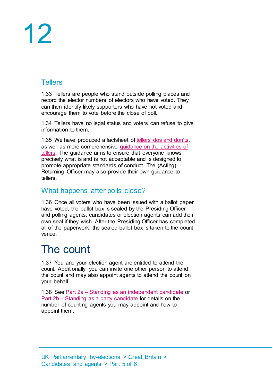#### <span id="page-12-0"></span>**Tellers**

1.33 Tellers are people who stand outside polling places and record the elector numbers of electors who have voted. They can then identify likely supporters who have not voted and encourage them to vote before the close of poll.

1.34 Tellers have no legal status and voters can refuse to give information to them.

1.35 We have produced a factsheet of [tellers dos and don'ts,](http://www.electoralcommission.org.uk/__data/assets/pdf_file/0006/141891/Tellers-dos-and-donts-generic.pdf) as well as more comprehensive [guidance on the activities of](http://www.electoralcommission.org.uk/__data/assets/pdf_file/0005/141890/Tellers-guidance-generic.pdf)  [tellers.](http://www.electoralcommission.org.uk/__data/assets/pdf_file/0005/141890/Tellers-guidance-generic.pdf) The guidance aims to ensure that everyone knows precisely what is and is not acceptable and is designed to promote appropriate standards of conduct. The (Acting) Returning Officer may also provide their own guidance to tellers.

#### <span id="page-12-1"></span>What happens after polls close?

1.36 Once all voters who have been issued with a ballot paper have voted, the ballot box is sealed by the Presiding Officer and polling agents, candidates or election agents can add their own seal if they wish. After the Presiding Officer has completed all of the paperwork, the sealed ballot box is taken to the count venue.

### <span id="page-12-2"></span>The count

1.37 You and your election agent are entitled to attend the count. Additionally, you can invite one other person to attend the count and may also appoint agents to attend the count on your behalf.

<span id="page-12-3"></span>1.38 See Part 2a – [Standing as an independent candidate](http://www.electoralcommission.org.uk/__data/assets/pdf_file/0020/214229/Parliamentary-By-Election-Part-2a-Standing-as-an-independent-candidate.pdf) or Part 2b – [Standing as a party candidate](http://www.electoralcommission.org.uk/__data/assets/pdf_file/0012/214230/Parliamentary-By-Election-Part-2b-Standing-as-an-independent-candidate.pdf) for details on the number of counting agents you may appoint and how to appoint them.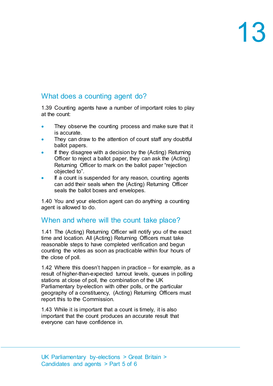#### What does a counting agent do?

1.39 Counting agents have a number of important roles to play at the count:

- They observe the counting process and make sure that it is accurate.
- They can draw to the attention of count staff any doubtful ballot papers.
- If they disagree with a decision by the (Acting) Returning Officer to reject a ballot paper, they can ask the (Acting) Returning Officer to mark on the ballot paper "rejection objected to".
- If a count is suspended for any reason, counting agents can add their seals when the (Acting) Returning Officer seals the ballot boxes and envelopes.

1.40 You and your election agent can do anything a counting agent is allowed to do.

#### <span id="page-13-0"></span>When and where will the count take place?

1.41 The (Acting) Returning Officer will notify you of the exact time and location. All (Acting) Returning Officers must take reasonable steps to have completed verification and begun counting the votes as soon as practicable within four hours of the close of poll.

1.42 Where this doesn't happen in practice – for example, as a result of higher-than-expected turnout levels, queues in polling stations at close of poll, the combination of the UK Parliamentary by-election with other polls, or the particular geography of a constituency, (Acting) Returning Officers must report this to the Commission.

1.43 While it is important that a count is timely, it is also important that the count produces an accurate result that everyone can have confidence in.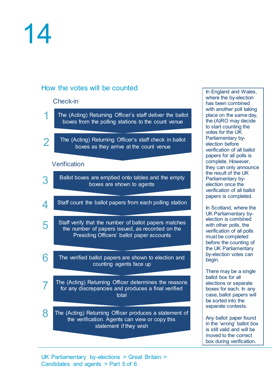#### <span id="page-14-0"></span>How the votes will be counted

#### Check-in

- The (Acting) Returning Officer's staff deliver the ballot boxes from the polling stations to the count venue 1
- The (Acting) Returning Officer's staff check in ballot boxes as they arrive at the count venue 2

#### **Verification**

6

- Ballot boxes are emptied onto tables and the empty boxes are shown to agents 3
- Staff count the ballot papers from each polling station 4
- Staff verify that the number of ballot papers matches the number of papers issued, as recorded on the Presiding Officers' ballot paper accounts 5
	- The verified ballot papers are shown to election and counting agents face up
- The (Acting) Returning Officer determines the reasons for any discrepancies and produces a final verified total 7
- The (Acting) Returning Officer produces a statement of the verification. Agents can view or copy this statement if they wish 8

In England and Wales, where the by-election has been combined with another poll taking place on the same day, the (A)RO may decide to start counting the votes for the UK Parliamentary byelection before verification of all ballot papers for all polls is complete. However, they can only announce the result of the UK Parliamentary byelection once the verification of all ballot papers is completed.

In Scotland, where the UK Parliamentary byelection is combined with other polls, the verification of all polls must be completed before the counting of the UK Parliamentary by-election votes can begin.

There may be a single ballot box for all elections or separate boxes for each. In any case, ballot papers will be sorted into the separate contests.

Any ballot paper found in the 'wrong' ballot box is still valid and will be moved to the correct box during verification.

UK Parliamentary by-elections > Great Britain > Candidates and agents > Part 5 of 6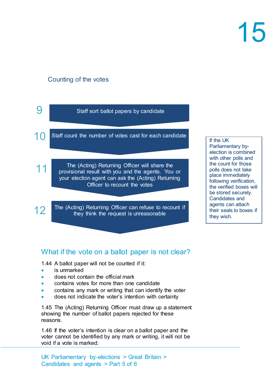#### Counting of the votes



#### <span id="page-15-0"></span>What if the vote on a ballot paper is not clear?

1.44 A ballot paper will not be counted if it:

- is unmarked
- does not contain the official mark
- contains votes for more than one candidate
- contains any mark or writing that can identify the voter
- does not indicate the voter's intention with certainty

1.45 The (Acting) Returning Officer must draw up a statement showing the number of ballot papers rejected for these reasons.

1.46 If the voter's intention is clear on a ballot paper and the voter cannot be identified by any mark or writing, it will not be void if a vote is marked:

UK Parliamentary by-elections > Great Britain > Candidates and agents > Part 5 of 6

#### If the UK

Parliamentary byelection is combined with other polls and the count for those polls does not take place immediately following verification, the verified boxes will be stored securely. Candidates and agents can attach their seals to boxes if they wish.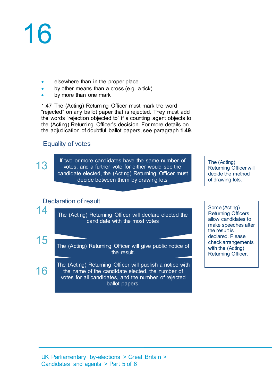- elsewhere than in the proper place
- by other means than a cross (e.g. a tick)
- by more than one mark

1.47 The (Acting) Returning Officer must mark the word "rejected" on any ballot paper that is rejected. They must add the words "rejection objected to" if a counting agent objects to the (Acting) Returning Officer's decision. For more details on the adjudication of doubtful ballot papers, see paragraph **[1.49](#page-18-2)**.

#### Equality of votes

13

14

15

16

If two or more candidates have the same number of votes, and a further vote for either would see the candidate elected, the (Acting) Returning Officer must decide between them by drawing lots

The (Acting) Returning Officer will decide the method of drawing lots.

#### Declaration of result

The (Acting) Returning Officer will declare elected the candidate with the most votes

The (Acting) Returning Officer will give public notice of the result.

The (Acting) Returning Officer will publish a notice with the name of the candidate elected, the number of votes for all candidates, and the number of rejected ballot papers.

Some (Acting) Returning Officers allow candidates to make speeches after the result is declared. Please check arrangements with the (Acting) Returning Officer.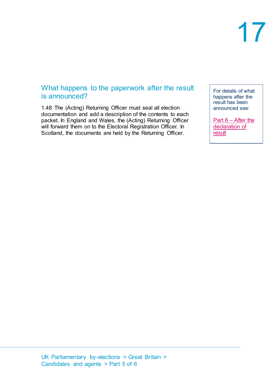#### <span id="page-17-0"></span>What happens to the paperwork after the result is announced?

1.48 The (Acting) Returning Officer must seal all election documentation and add a description of the contents to each packet. In England and Wales, the (Acting) Returning Officer will forward them on to the Electoral Registration Officer. In Scotland, the documents are held by the Returning Officer.

For details of what happens after the result has been announced see:

Part 6 – [After the](http://www.electoralcommission.org.uk/__data/assets/pdf_file/0015/214233/Parliamentary-By-Election-Part-6-After-the-declaration-of-results.pdf)  [declaration of](http://www.electoralcommission.org.uk/__data/assets/pdf_file/0015/214233/Parliamentary-By-Election-Part-6-After-the-declaration-of-results.pdf)  [result](http://www.electoralcommission.org.uk/__data/assets/pdf_file/0015/214233/Parliamentary-By-Election-Part-6-After-the-declaration-of-results.pdf)